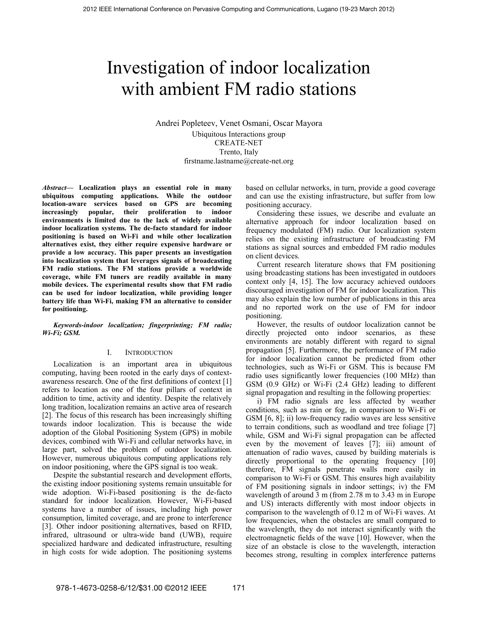# Investigation of indoor localization with ambient FM radio stations

Andrei Popleteev, Venet Osmani, Oscar Mayora Ubiquitous Interactions group CREATE-NET Trento, Italy firstname.lastname@create-net.org

*Abstract***— Localization plays an essential role in many ubiquitous computing applications. While the outdoor location-aware services based on GPS are becoming increasingly popular, their proliferation to indoor environments is limited due to the lack of widely available indoor localization systems. The de-facto standard for indoor positioning is based on Wi-Fi and while other localization alternatives exist, they either require expensive hardware or provide a low accuracy. This paper presents an investigation into localization system that leverages signals of broadcasting FM radio stations. The FM stations provide a worldwide coverage, while FM tuners are readily available in many mobile devices. The experimental results show that FM radio can be used for indoor localization, while providing longer battery life than Wi-Fi, making FM an alternative to consider for positioning.** 

*Keywords-indoor localization; fingerprinting; FM radio; Wi-Fi; GSM.* 

## I. INTRODUCTION

Localization is an important area in ubiquitous computing, having been rooted in the early days of contextawareness research. One of the first definitions of context [1] refers to location as one of the four pillars of context in addition to time, activity and identity. Despite the relatively long tradition, localization remains an active area of research [2]. The focus of this research has been increasingly shifting towards indoor localization. This is because the wide adoption of the Global Positioning System (GPS) in mobile devices, combined with Wi-Fi and cellular networks have, in large part, solved the problem of outdoor localization. However, numerous ubiquitous computing applications rely on indoor positioning, where the GPS signal is too weak.

Despite the substantial research and development efforts, the existing indoor positioning systems remain unsuitable for wide adoption. Wi-Fi-based positioning is the de-facto standard for indoor localization. However, Wi-Fi-based systems have a number of issues, including high power consumption, limited coverage, and are prone to interference [3]. Other indoor positioning alternatives, based on RFID, infrared, ultrasound or ultra-wide band (UWB), require specialized hardware and dedicated infrastructure, resulting in high costs for wide adoption. The positioning systems

based on cellular networks, in turn, provide a good coverage and can use the existing infrastructure, but suffer from low positioning accuracy.

Considering these issues, we describe and evaluate an alternative approach for indoor localization based on frequency modulated (FM) radio. Our localization system relies on the existing infrastructure of broadcasting FM stations as signal sources and embedded FM radio modules on client devices.

Current research literature shows that FM positioning using broadcasting stations has been investigated in outdoors context only [4, 15]. The low accuracy achieved outdoors discouraged investigation of FM for indoor localization. This may also explain the low number of publications in this area and no reported work on the use of FM for indoor positioning.

However, the results of outdoor localization cannot be directly projected onto indoor scenarios, as these environments are notably different with regard to signal propagation [5]. Furthermore, the performance of FM radio for indoor localization cannot be predicted from other technologies, such as Wi-Fi or GSM. This is because FM radio uses significantly lower frequencies (100 MHz) than GSM (0.9 GHz) or Wi-Fi (2.4 GHz) leading to different signal propagation and resulting in the following properties:

i) FM radio signals are less affected by weather conditions, such as rain or fog, in comparison to Wi-Fi or GSM [6, 8]; ii) low-frequency radio waves are less sensitive to terrain conditions, such as woodland and tree foliage [7] while, GSM and Wi-Fi signal propagation can be affected even by the movement of leaves [7]; iii) amount of attenuation of radio waves, caused by building materials is directly proportional to the operating frequency [10] therefore, FM signals penetrate walls more easily in comparison to Wi-Fi or GSM. This ensures high availability of FM positioning signals in indoor settings; iv) the FM wavelength of around 3 m (from 2.78 m to 3.43 m in Europe and US) interacts differently with most indoor objects in comparison to the wavelength of 0.12 m of Wi-Fi waves. At low frequencies, when the obstacles are small compared to the wavelength, they do not interact significantly with the electromagnetic fields of the wave [10]. However, when the size of an obstacle is close to the wavelength, interaction becomes strong, resulting in complex interference patterns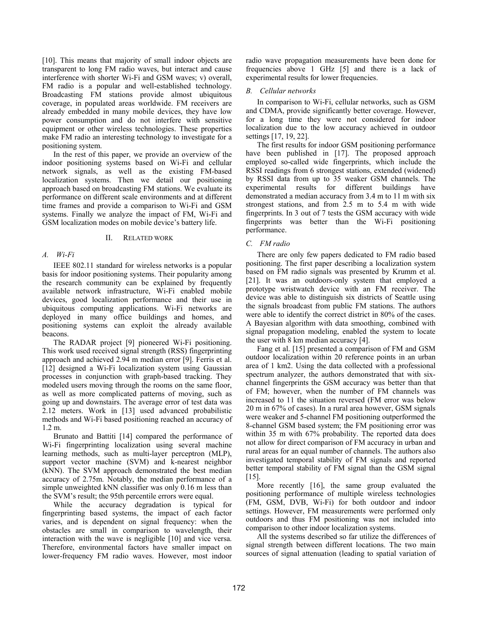[10]. This means that majority of small indoor objects are transparent to long FM radio waves, but interact and cause interference with shorter Wi-Fi and GSM waves; v) overall, FM radio is a popular and well-established technology. Broadcasting FM stations provide almost ubiquitous coverage, in populated areas worldwide. FM receivers are already embedded in many mobile devices, they have low power consumption and do not interfere with sensitive equipment or other wireless technologies. These properties make FM radio an interesting technology to investigate for a positioning system.

In the rest of this paper, we provide an overview of the indoor positioning systems based on Wi-Fi and cellular network signals, as well as the existing FM-based localization systems. Then we detail our positioning approach based on broadcasting FM stations. We evaluate its performance on different scale environments and at different time frames and provide a comparison to Wi-Fi and GSM systems. Finally we analyze the impact of FM, Wi-Fi and GSM localization modes on mobile device's battery life.

## II. RELATED WORK

# *A. Wi-Fi*

IEEE 802.11 standard for wireless networks is a popular basis for indoor positioning systems. Their popularity among the research community can be explained by frequently available network infrastructure, Wi-Fi enabled mobile devices, good localization performance and their use in ubiquitous computing applications. Wi-Fi networks are deployed in many office buildings and homes, and positioning systems can exploit the already available beacons.

The RADAR project [9] pioneered Wi-Fi positioning. This work used received signal strength (RSS) fingerprinting approach and achieved 2.94 m median error [9]. Ferris et al. [12] designed a Wi-Fi localization system using Gaussian processes in conjunction with graph-based tracking. They modeled users moving through the rooms on the same floor, as well as more complicated patterns of moving, such as going up and downstairs. The average error of test data was 2.12 meters. Work in [13] used advanced probabilistic methods and Wi-Fi based positioning reached an accuracy of 1.2 m.

Brunato and Battiti [14] compared the performance of Wi-Fi fingerprinting localization using several machine learning methods, such as multi-layer perceptron (MLP), support vector machine (SVM) and k-nearest neighbor (kNN). The SVM approach demonstrated the best median accuracy of 2.75m. Notably, the median performance of a simple unweighted kNN classifier was only 0.16 m less than the SVM's result; the 95th percentile errors were equal.

While the accuracy degradation is typical for fingerprinting based systems, the impact of each factor varies, and is dependent on signal frequency: when the obstacles are small in comparison to wavelength, their interaction with the wave is negligible [10] and vice versa. Therefore, environmental factors have smaller impact on lower-frequency FM radio waves. However, most indoor

radio wave propagation measurements have been done for frequencies above 1 GHz [5] and there is a lack of experimental results for lower frequencies.

# *B. Cellular networks*

In comparison to Wi-Fi, cellular networks, such as GSM and CDMA, provide significantly better coverage. However, for a long time they were not considered for indoor localization due to the low accuracy achieved in outdoor settings [17, 19, 22].

The first results for indoor GSM positioning performance have been published in [17]. The proposed approach employed so-called wide fingerprints, which include the RSSI readings from 6 strongest stations, extended (widened) by RSSI data from up to 35 weaker GSM channels. The experimental results for different buildings have demonstrated a median accuracy from 3.4 m to 11 m with six strongest stations, and from 2.5 m to 5.4 m with wide fingerprints. In 3 out of 7 tests the GSM accuracy with wide fingerprints was better than the Wi-Fi positioning performance.

# *C. FM radio*

There are only few papers dedicated to FM radio based positioning. The first paper describing a localization system based on FM radio signals was presented by Krumm et al. [21]. It was an outdoors-only system that employed a prototype wristwatch device with an FM receiver. The device was able to distinguish six districts of Seattle using the signals broadcast from public FM stations. The authors were able to identify the correct district in 80% of the cases. A Bayesian algorithm with data smoothing, combined with signal propagation modeling, enabled the system to locate the user with 8 km median accuracy [4].

Fang et al. [15] presented a comparison of FM and GSM outdoor localization within 20 reference points in an urban area of 1 km2. Using the data collected with a professional spectrum analyzer, the authors demonstrated that with sixchannel fingerprints the GSM accuracy was better than that of FM; however, when the number of FM channels was increased to 11 the situation reversed (FM error was below 20 m in 67% of cases). In a rural area however, GSM signals were weaker and 5-channel FM positioning outperformed the 8-channel GSM based system; the FM positioning error was within 35 m with 67% probability. The reported data does not allow for direct comparison of FM accuracy in urban and rural areas for an equal number of channels. The authors also investigated temporal stability of FM signals and reported better temporal stability of FM signal than the GSM signal [15].

More recently [16], the same group evaluated the positioning performance of multiple wireless technologies (FM, GSM, DVB, Wi-Fi) for both outdoor and indoor settings. However, FM measurements were performed only outdoors and thus FM positioning was not included into comparison to other indoor localization systems.

All the systems described so far utilize the differences of signal strength between different locations. The two main sources of signal attenuation (leading to spatial variation of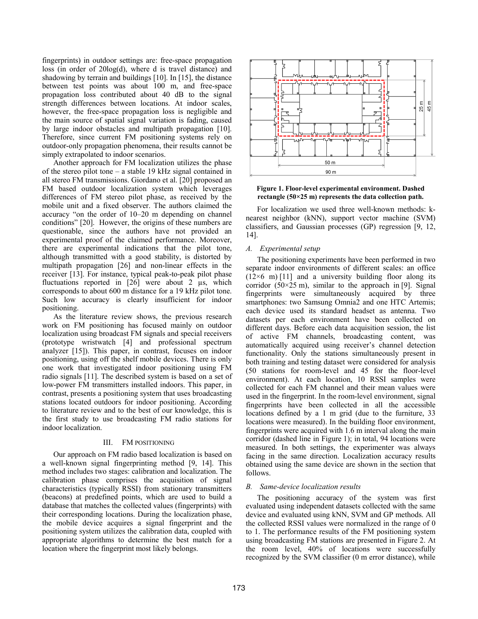fingerprints) in outdoor settings are: free-space propagation loss (in order of 20log(d), where d is travel distance) and shadowing by terrain and buildings [10]. In [15], the distance between test points was about 100 m, and free-space propagation loss contributed about 40 dB to the signal strength differences between locations. At indoor scales, however, the free-space propagation loss is negligible and the main source of spatial signal variation is fading, caused by large indoor obstacles and multipath propagation [10]. Therefore, since current FM positioning systems rely on outdoor-only propagation phenomena, their results cannot be simply extrapolated to indoor scenarios.

Another approach for FM localization utilizes the phase of the stereo pilot tone – a stable 19 kHz signal contained in all stereo FM transmissions. Giordano et al. [20] proposed an FM based outdoor localization system which leverages differences of FM stereo pilot phase, as received by the mobile unit and a fixed observer. The authors claimed the accuracy "on the order of 10–20 m depending on channel conditions" [20]. However, the origins of these numbers are questionable, since the authors have not provided an experimental proof of the claimed performance. Moreover, there are experimental indications that the pilot tone, although transmitted with a good stability, is distorted by multipath propagation [26] and non-linear effects in the receiver [13]. For instance, typical peak-to-peak pilot phase fluctuations reported in [26] were about 2 µs, which corresponds to about 600 m distance for a 19 kHz pilot tone. Such low accuracy is clearly insufficient for indoor positioning.

As the literature review shows, the previous research work on FM positioning has focused mainly on outdoor localization using broadcast FM signals and special receivers (prototype wristwatch [4] and professional spectrum analyzer [15]). This paper, in contrast, focuses on indoor positioning, using off the shelf mobile devices. There is only one work that investigated indoor positioning using FM radio signals [11]. The described system is based on a set of low-power FM transmitters installed indoors. This paper, in contrast, presents a positioning system that uses broadcasting stations located outdoors for indoor positioning. According to literature review and to the best of our knowledge, this is the first study to use broadcasting FM radio stations for indoor localization.

### III. FM POSITIONING

Our approach on FM radio based localization is based on a well-known signal fingerprinting method [9, 14]. This method includes two stages: calibration and localization. The calibration phase comprises the acquisition of signal characteristics (typically RSSI) from stationary transmitters (beacons) at predefined points, which are used to build a database that matches the collected values (fingerprints) with their corresponding locations. During the localization phase, the mobile device acquires a signal fingerprint and the positioning system utilizes the calibration data, coupled with appropriate algorithms to determine the best match for a location where the fingerprint most likely belongs.



**Figure 1. Floor-level experimental environment. Dashed rectangle (50×25 m) represents the data collection path.** 

For localization we used three well-known methods: knearest neighbor (kNN), support vector machine (SVM) classifiers, and Gaussian processes (GP) regression [9, 12, 14].

# *A. Experimental setup*

The positioning experiments have been performed in two separate indoor environments of different scales: an office  $(12\times6$  m) [11] and a university building floor along its corridor (50 $\times$ 25 m), similar to the approach in [9]. Signal fingerprints were simultaneously acquired by three smartphones: two Samsung Omnia2 and one HTC Artemis; each device used its standard headset as antenna. Two datasets per each environment have been collected on different days. Before each data acquisition session, the list of active FM channels, broadcasting content, was automatically acquired using receiver's channel detection functionality. Only the stations simultaneously present in both training and testing dataset were considered for analysis (50 stations for room-level and 45 for the floor-level environment). At each location, 10 RSSI samples were collected for each FM channel and their mean values were used in the fingerprint. In the room-level environment, signal fingerprints have been collected in all the accessible locations defined by a 1 m grid (due to the furniture, 33 locations were measured). In the building floor environment, fingerprints were acquired with 1.6 m interval along the main corridor (dashed line in Figure 1); in total, 94 locations were measured. In both settings, the experimenter was always facing in the same direction. Localization accuracy results obtained using the same device are shown in the section that follows.

## *B. Same-device localization results*

The positioning accuracy of the system was first evaluated using independent datasets collected with the same device and evaluated using kNN, SVM and GP methods. All the collected RSSI values were normalized in the range of 0 to 1. The performance results of the FM positioning system using broadcasting FM stations are presented in Figure 2. At the room level, 40% of locations were successfully recognized by the SVM classifier (0 m error distance), while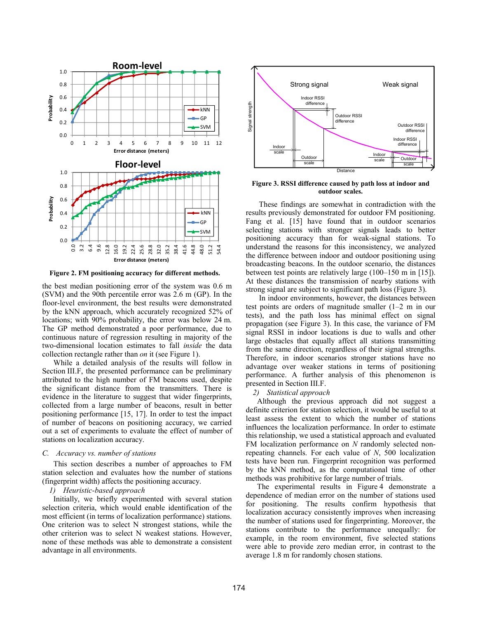

**Figure 2. FM positioning accuracy for different methods.** 

the best median positioning error of the system was 0.6 m (SVM) and the 90th percentile error was 2.6 m (GP). In the floor-level environment, the best results were demonstrated by the kNN approach, which accurately recognized 52% of locations; with 90% probability, the error was below 24 m. The GP method demonstrated a poor performance, due to continuous nature of regression resulting in majority of the two-dimensional location estimates to fall *inside* the data collection rectangle rather than *on* it (see Figure 1).

While a detailed analysis of the results will follow in Section III.F, the presented performance can be preliminary attributed to the high number of FM beacons used, despite the significant distance from the transmitters. There is evidence in the literature to suggest that wider fingerprints, collected from a large number of beacons, result in better positioning performance [15, 17]. In order to test the impact of number of beacons on positioning accuracy, we carried out a set of experiments to evaluate the effect of number of stations on localization accuracy.

#### *C. Accuracy vs. number of stations*

This section describes a number of approaches to FM station selection and evaluates how the number of stations (fingerprint width) affects the positioning accuracy.

## *1) Heuristic-based approach*

Initially, we briefly experimented with several station selection criteria, which would enable identification of the most efficient (in terms of localization performance) stations. One criterion was to select N strongest stations, while the other criterion was to select N weakest stations. However, none of these methods was able to demonstrate a consistent advantage in all environments.



**Figure 3. RSSI difference caused by path loss at indoor and outdoor scales.** 

 These findings are somewhat in contradiction with the results previously demonstrated for outdoor FM positioning. Fang et al. [15] have found that in outdoor scenarios selecting stations with stronger signals leads to better positioning accuracy than for weak-signal stations. To understand the reasons for this inconsistency, we analyzed the difference between indoor and outdoor positioning using broadcasting beacons. In the outdoor scenario, the distances between test points are relatively large (100–150 m in [15]). At these distances the transmission of nearby stations with strong signal are subject to significant path loss (Figure 3).

 In indoor environments, however, the distances between test points are orders of magnitude smaller (1–2 m in our tests), and the path loss has minimal effect on signal propagation (see Figure 3). In this case, the variance of FM signal RSSI in indoor locations is due to walls and other large obstacles that equally affect all stations transmitting from the same direction, regardless of their signal strengths. Therefore, in indoor scenarios stronger stations have no advantage over weaker stations in terms of positioning performance. A further analysis of this phenomenon is presented in Section III.F.

## *2) Statistical approach*

Although the previous approach did not suggest a definite criterion for station selection, it would be useful to at least assess the extent to which the number of stations influences the localization performance. In order to estimate this relationship, we used a statistical approach and evaluated FM localization performance on *N* randomly selected nonrepeating channels. For each value of *N*, 500 localization tests have been run. Fingerprint recognition was performed by the kNN method, as the computational time of other methods was prohibitive for large number of trials.

The experimental results in Figure 4 demonstrate a dependence of median error on the number of stations used for positioning. The results confirm hypothesis that localization accuracy consistently improves when increasing the number of stations used for fingerprinting. Moreover, the stations contribute to the performance unequally: for example, in the room environment, five selected stations were able to provide zero median error, in contrast to the average 1.8 m for randomly chosen stations.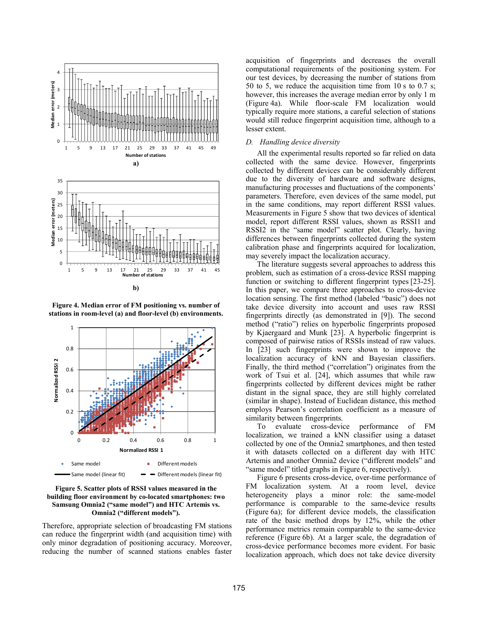

**Figure 4. Median error of FM positioning vs. number of stations in room-level (a) and floor-level (b) environments.** 



## **Figure 5. Scatter plots of RSSI values measured in the building floor environment by co-located smartphones: two Samsung Omnia2 ("same model") and HTC Artemis vs. Omnia2 ("different models").**

Therefore, appropriate selection of broadcasting FM stations can reduce the fingerprint width (and acquisition time) with only minor degradation of positioning accuracy. Moreover, reducing the number of scanned stations enables faster acquisition of fingerprints and decreases the overall computational requirements of the positioning system. For our test devices, by decreasing the number of stations from 50 to 5, we reduce the acquisition time from 10 s to 0.7 s; however, this increases the average median error by only 1 m (Figure 4a). While floor-scale FM localization would typically require more stations, a careful selection of stations would still reduce fingerprint acquisition time, although to a lesser extent.

## *D. Handling device diversity*

All the experimental results reported so far relied on data collected with the same device. However, fingerprints collected by different devices can be considerably different due to the diversity of hardware and software designs, manufacturing processes and fluctuations of the components' parameters. Therefore, even devices of the same model, put in the same conditions, may report different RSSI values. Measurements in Figure 5 show that two devices of identical model, report different RSSI values, shown as RSSI1 and RSSI2 in the "same model" scatter plot. Clearly, having differences between fingerprints collected during the system calibration phase and fingerprints acquired for localization, may severely impact the localization accuracy.

The literature suggests several approaches to address this problem, such as estimation of a cross-device RSSI mapping function or switching to different fingerprint types [23-25]. In this paper, we compare three approaches to cross-device location sensing. The first method (labeled "basic") does not take device diversity into account and uses raw RSSI fingerprints directly (as demonstrated in [9]). The second method ("ratio") relies on hyperbolic fingerprints proposed by Kjaergaard and Munk [23]. A hyperbolic fingerprint is composed of pairwise ratios of RSSIs instead of raw values. In [23] such fingerprints were shown to improve the localization accuracy of kNN and Bayesian classifiers. Finally, the third method ("correlation") originates from the work of Tsui et al. [24], which assumes that while raw fingerprints collected by different devices might be rather distant in the signal space, they are still highly correlated (similar in shape). Instead of Euclidean distance, this method employs Pearson's correlation coefficient as a measure of similarity between fingerprints.

To evaluate cross-device performance of FM localization, we trained a kNN classifier using a dataset collected by one of the Omnia2 smartphones, and then tested it with datasets collected on a different day with HTC Artemis and another Omnia2 device ("different models" and "same model" titled graphs in Figure 6, respectively).

Figure 6 presents cross-device, over-time performance of FM localization system. At a room level, device heterogeneity plays a minor role: the same-model performance is comparable to the same-device results (Figure 6a); for different device models, the classification rate of the basic method drops by 12%, while the other performance metrics remain comparable to the same-device reference (Figure 6b). At a larger scale, the degradation of cross-device performance becomes more evident. For basic localization approach, which does not take device diversity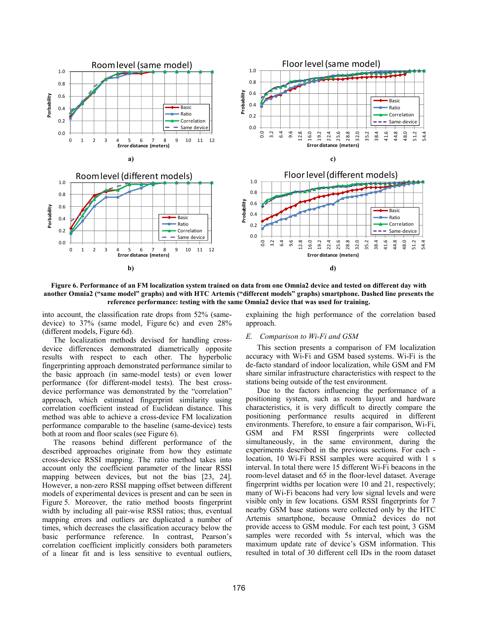

**Figure 6. Performance of an FM localization system trained on data from one Omnia2 device and tested on different day with another Omnia2 ("same model" graphs) and with HTC Artemis ("different models" graphs) smartphone. Dashed line presents the reference performance: testing with the same Omnia2 device that was used for training.** 

into account, the classification rate drops from 52% (samedevice) to 37% (same model, Figure 6c) and even 28% (different models, Figure 6d).

The localization methods devised for handling crossdevice differences demonstrated diametrically opposite results with respect to each other. The hyperbolic fingerprinting approach demonstrated performance similar to the basic approach (in same-model tests) or even lower performance (for different-model tests). The best crossdevice performance was demonstrated by the "correlation" approach, which estimated fingerprint similarity using correlation coefficient instead of Euclidean distance. This method was able to achieve a cross-device FM localization performance comparable to the baseline (same-device) tests both at room and floor scales (see Figure 6).

The reasons behind different performance of the described approaches originate from how they estimate cross-device RSSI mapping. The ratio method takes into account only the coefficient parameter of the linear RSSI mapping between devices, but not the bias [23, 24]. However, a non-zero RSSI mapping offset between different models of experimental devices is present and can be seen in Figure 5. Moreover, the ratio method boosts fingerprint width by including all pair-wise RSSI ratios; thus, eventual mapping errors and outliers are duplicated a number of times, which decreases the classification accuracy below the basic performance reference. In contrast, Pearson's correlation coefficient implicitly considers both parameters of a linear fit and is less sensitive to eventual outliers,

explaining the high performance of the correlation based approach.

#### *E. Comparison to Wi-Fi and GSM*

This section presents a comparison of FM localization accuracy with Wi-Fi and GSM based systems. Wi-Fi is the de-facto standard of indoor localization, while GSM and FM share similar infrastructure characteristics with respect to the stations being outside of the test environment.

Due to the factors influencing the performance of a positioning system, such as room layout and hardware characteristics, it is very difficult to directly compare the positioning performance results acquired in different environments. Therefore, to ensure a fair comparison, Wi-Fi, GSM and FM RSSI fingerprints were collected simultaneously, in the same environment, during the experiments described in the previous sections. For each location, 10 Wi-Fi RSSI samples were acquired with 1 s interval. In total there were 15 different Wi-Fi beacons in the room-level dataset and 65 in the floor-level dataset. Average fingerprint widths per location were 10 and 21, respectively; many of Wi-Fi beacons had very low signal levels and were visible only in few locations. GSM RSSI fingerprints for 7 nearby GSM base stations were collected only by the HTC Artemis smartphone, because Omnia2 devices do not provide access to GSM module. For each test point, 3 GSM samples were recorded with 5s interval, which was the maximum update rate of device's GSM information. This resulted in total of 30 different cell IDs in the room dataset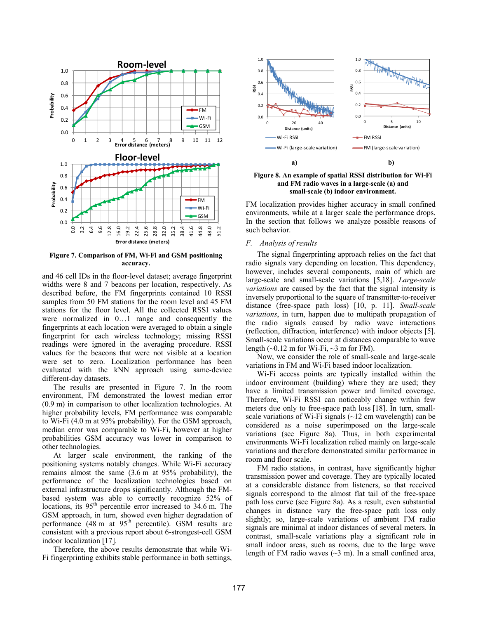

**Figure 7. Comparison of FM, Wi-Fi and GSM positioning accuracy.** 

and 46 cell IDs in the floor-level dataset; average fingerprint widths were 8 and 7 beacons per location, respectively. As described before, the FM fingerprints contained 10 RSSI samples from 50 FM stations for the room level and 45 FM stations for the floor level. All the collected RSSI values were normalized in 0…1 range and consequently the fingerprints at each location were averaged to obtain a single fingerprint for each wireless technology; missing RSSI readings were ignored in the averaging procedure. RSSI values for the beacons that were not visible at a location were set to zero. Localization performance has been evaluated with the kNN approach using same-device different-day datasets.

The results are presented in Figure 7. In the room environment, FM demonstrated the lowest median error (0.9 m) in comparison to other localization technologies. At higher probability levels, FM performance was comparable to Wi-Fi (4.0 m at 95% probability). For the GSM approach, median error was comparable to Wi-Fi, however at higher probabilities GSM accuracy was lower in comparison to other technologies.

At larger scale environment, the ranking of the positioning systems notably changes. While Wi-Fi accuracy remains almost the same (3.6 m at 95% probability), the performance of the localization technologies based on external infrastructure drops significantly. Although the FMbased system was able to correctly recognize 52% of locations, its  $95<sup>th</sup>$  percentile error increased to 34.6 m. The GSM approach, in turn, showed even higher degradation of performance  $(48 \text{ m at } 95^{\text{th}} \text{ percentile})$ . GSM results are consistent with a previous report about 6-strongest-cell GSM indoor localization [17].

Therefore, the above results demonstrate that while Wi-Fi fingerprinting exhibits stable performance in both settings,



**Figure 8. An example of spatial RSSI distribution for Wi-Fi and FM radio waves in a large-scale (a) and small-scale (b) indoor environment.** 

FM localization provides higher accuracy in small confined environments, while at a larger scale the performance drops. In the section that follows we analyze possible reasons of such behavior.

### *F. Analysis of results*

The signal fingerprinting approach relies on the fact that radio signals vary depending on location. This dependency, however, includes several components, main of which are large-scale and small-scale variations [5,18]. *Large-scale variations* are caused by the fact that the signal intensity is inversely proportional to the square of transmitter-to-receiver distance (free-space path loss) [10, p. 11]. *Small-scale variations*, in turn, happen due to multipath propagation of the radio signals caused by radio wave interactions (reflection, diffraction, interference) with indoor objects [5]. Small-scale variations occur at distances comparable to wave length  $(\sim 0.12 \text{ m}$  for Wi-Fi,  $\sim 3 \text{ m}$  for FM).

Now, we consider the role of small-scale and large-scale variations in FM and Wi-Fi based indoor localization.

Wi-Fi access points are typically installed within the indoor environment (building) where they are used; they have a limited transmission power and limited coverage. Therefore, Wi-Fi RSSI can noticeably change within few meters due only to free-space path loss [18]. In turn, smallscale variations of Wi-Fi signals  $(\sim 12 \text{ cm}$  wavelength) can be considered as a noise superimposed on the large-scale variations (see Figure 8a). Thus, in both experimental environments Wi-Fi localization relied mainly on large-scale variations and therefore demonstrated similar performance in room and floor scale.

FM radio stations, in contrast, have significantly higher transmission power and coverage. They are typically located at a considerable distance from listeners, so that received signals correspond to the almost flat tail of the free-space path loss curve (see Figure 8a). As a result, even substantial changes in distance vary the free-space path loss only slightly; so, large-scale variations of ambient FM radio signals are minimal at indoor distances of several meters. In contrast, small-scale variations play a significant role in small indoor areas, such as rooms, due to the large wave length of FM radio waves  $(\sim 3 \text{ m})$ . In a small confined area,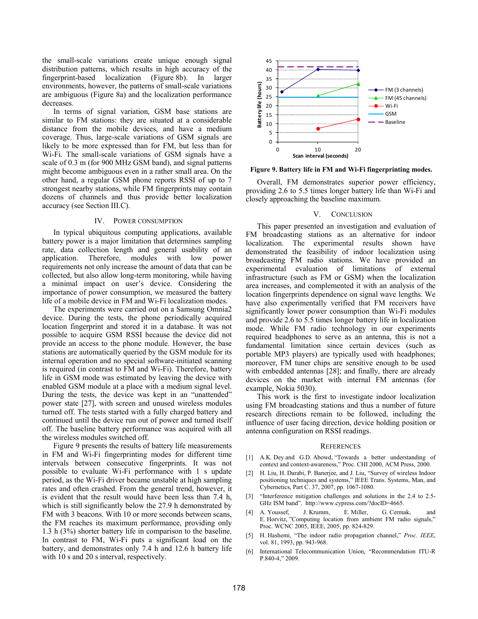the small-scale variations create unique enough signal distribution patterns, which results in high accuracy of the fingerprint-based localization (Figure 8b). In larger environments, however, the patterns of small-scale variations are ambiguous (Figure 8a) and the localization performance decreases.

In terms of signal variation, GSM base stations are similar to FM stations: they are situated at a considerable distance from the mobile devices, and have a medium coverage. Thus, large-scale variations of GSM signals are likely to be more expressed than for FM, but less than for Wi-Fi. The small-scale variations of GSM signals have a scale of 0.3 m (for 900 MHz GSM band), and signal patterns might become ambiguous even in a rather small area. On the other hand, a regular GSM phone reports RSSI of up to 7 strongest nearby stations, while FM fingerprints may contain dozens of channels and thus provide better localization accuracy (see Section III.C).

#### IV. POWER CONSUMPTION

In typical ubiquitous computing applications, available battery power is a major limitation that determines sampling rate, data collection length and general usability of an application. Therefore, modules with low power requirements not only increase the amount of data that can be collected, but also allow long-term monitoring, while having a minimal impact on user's device. Considering the importance of power consumption, we measured the battery life of a mobile device in FM and Wi-Fi localization modes.

The experiments were carried out on a Samsung Omnia2 device. During the tests, the phone periodically acquired location fingerprint and stored it in a database. It was not possible to acquire GSM RSSI because the device did not provide an access to the phone module. However, the base stations are automatically queried by the GSM module for its internal operation and no special software-initiated scanning is required (in contrast to FM and Wi-Fi). Therefore, battery life in GSM mode was estimated by leaving the device with enabled GSM module at a place with a medium signal level. During the tests, the device was kept in an "unattended" power state [27], with screen and unused wireless modules turned off. The tests started with a fully charged battery and continued until the device run out of power and turned itself off. The baseline battery performance was acquired with all the wireless modules switched off.

Figure 9 presents the results of battery life measurements in FM and Wi-Fi fingerprinting modes for different time intervals between consecutive fingerprints. It was not possible to evaluate Wi-Fi performance with 1 s update period, as the Wi-Fi driver became unstable at high sampling rates and often crashed. From the general trend, however, it is evident that the result would have been less than 7.4 h, which is still significantly below the 27.9 h demonstrated by FM with 3 beacons. With 10 or more seconds between scans, the FM reaches its maximum performance, providing only 1.3 h (3%) shorter battery life in comparison to the baseline. In contrast to FM, Wi-Fi puts a significant load on the battery, and demonstrates only 7.4 h and 12.6 h battery life with 10 s and 20 s interval, respectively.



**Figure 9. Battery life in FM and Wi-Fi fingerprinting modes.** 

Overall, FM demonstrates superior power efficiency, providing 2.6 to 5.5 times longer battery life than Wi-Fi and closely approaching the baseline maximum.

#### V. CONCLUSION

This paper presented an investigation and evaluation of FM broadcasting stations as an alternative for indoor localization. The experimental results shown have demonstrated the feasibility of indoor localization using broadcasting FM radio stations. We have provided an experimental evaluation of limitations of external infrastructure (such as FM or GSM) when the localization area increases, and complemented it with an analysis of the location fingerprints dependence on signal wave lengths. We have also experimentally verified that FM receivers have significantly lower power consumption than Wi-Fi modules and provide 2.6 to 5.5 times longer battery life in localization mode. While FM radio technology in our experiments required headphones to serve as an antenna, this is not a fundamental limitation since certain devices (such as portable MP3 players) are typically used with headphones; moreover, FM tuner chips are sensitive enough to be used with embedded antennas [28]; and finally, there are already devices on the market with internal FM antennas (for example, Nokia 5030).

This work is the first to investigate indoor localization using FM broadcasting stations and thus a number of future research directions remain to be followed, including the influence of user facing direction, device holding position or antenna configuration on RSSI readings.

#### **REFERENCES**

- [1] A.K. Dey and G.D. Abowd, "Towards a better understanding of context and context-awareness," Proc. CHI 2000, ACM Press, 2000.
- [2] H. Liu, H. Darabi, P. Banerjee, and J. Liu, "Survey of wireless Indoor positioning techniques and systems," IEEE Trans. Systems, Man, and Cybernetics, Part C. 37, 2007, pp. 1067-1080.
- [3] "Interference mitigation challenges and solutions in the 2.4 to 2.5- GHz ISM band". http://www.cypress.com/?docID=4665.
- [4] A. Youssef, J. Krumm, E. Miller, G. Cermak, and E. Horvitz, "Computing location from ambient FM radio signals," Proc. WCNC 2005, IEEE, 2005, pp. 824-829.
- [5] H. Hashemi, "The indoor radio propagation channel," *Proc. IEEE*, vol. 81, 1993, pp. 943-968.
- [6] International Telecommunication Union, "Recommendation ITU-R P.840-4," 2009.